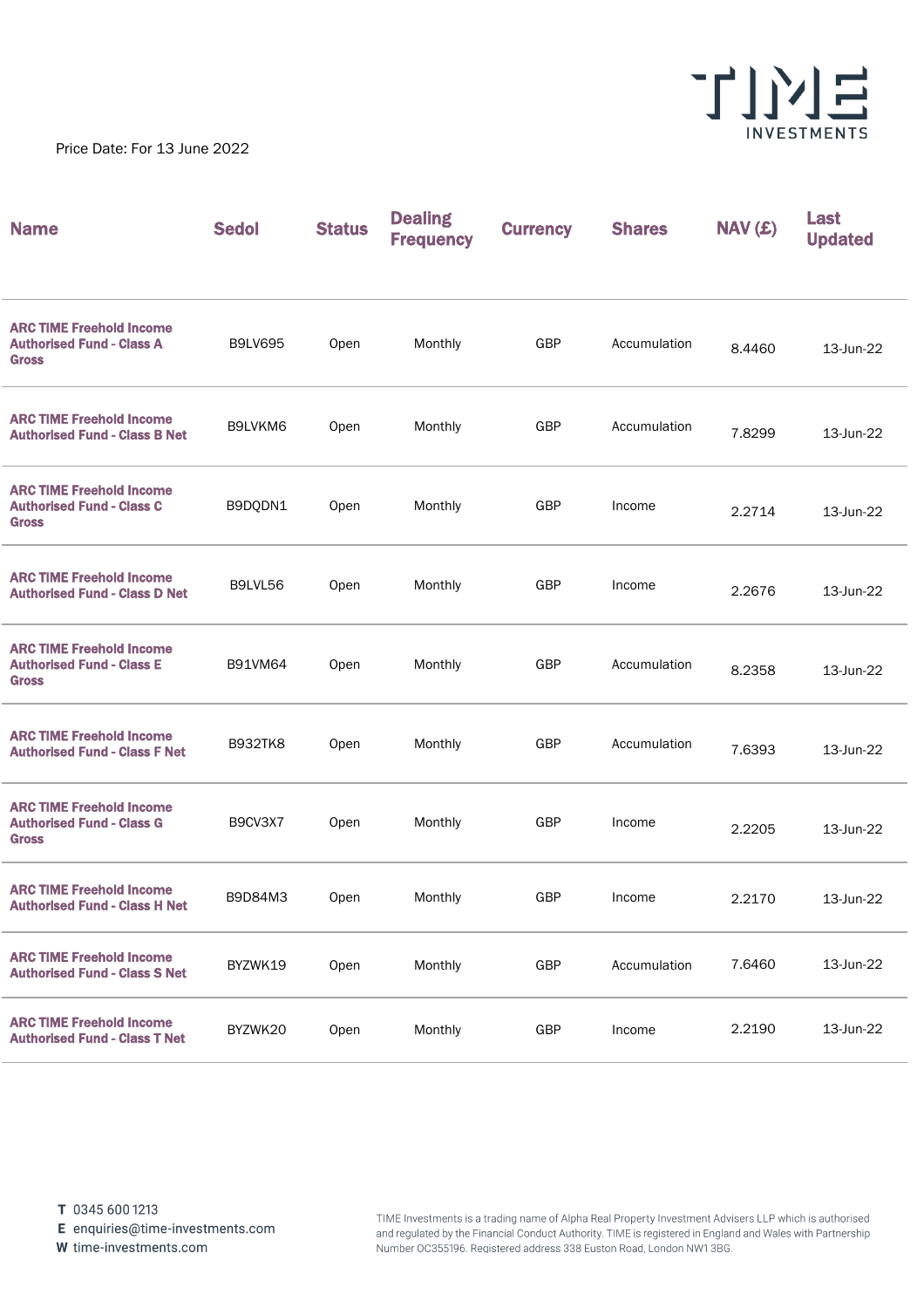

Price Date: For 13 June 2022

| <b>Name</b>                                                                         | <b>Sedol</b>   | <b>Status</b> | <b>Dealing</b><br><b>Frequency</b> | <b>Currency</b> | <b>Shares</b> | NAV(£) | Last<br><b>Updated</b> |
|-------------------------------------------------------------------------------------|----------------|---------------|------------------------------------|-----------------|---------------|--------|------------------------|
| <b>ARC TIME Freehold Income</b><br><b>Authorised Fund - Class A</b><br><b>Gross</b> | <b>B9LV695</b> | Open          | Monthly                            | GBP             | Accumulation  | 8.4460 | 13-Jun-22              |
| <b>ARC TIME Freehold Income</b><br><b>Authorised Fund - Class B Net</b>             | B9LVKM6        | Open          | Monthly                            | GBP             | Accumulation  | 7.8299 | 13-Jun-22              |
| <b>ARC TIME Freehold Income</b><br><b>Authorised Fund - Class C</b><br><b>Gross</b> | B9DQDN1        | Open          | Monthly                            | GBP             | Income        | 2.2714 | 13-Jun-22              |
| <b>ARC TIME Freehold Income</b><br><b>Authorised Fund - Class D Net</b>             | B9LVL56        | Open          | Monthly                            | GBP             | Income        | 2.2676 | 13-Jun-22              |
| <b>ARC TIME Freehold Income</b><br><b>Authorised Fund - Class E</b><br><b>Gross</b> | <b>B91VM64</b> | Open          | Monthly                            | GBP             | Accumulation  | 8.2358 | 13-Jun-22              |
| <b>ARC TIME Freehold Income</b><br><b>Authorised Fund - Class F Net</b>             | <b>B932TK8</b> | Open          | Monthly                            | GBP             | Accumulation  | 7.6393 | 13-Jun-22              |
| <b>ARC TIME Freehold Income</b><br><b>Authorised Fund - Class G</b><br><b>Gross</b> | B9CV3X7        | Open          | Monthly                            | GBP             | Income        | 2.2205 | 13-Jun-22              |
| <b>ARC TIME Freehold Income</b><br><b>Authorised Fund - Class H Net</b>             | B9D84M3        | Open          | Monthly                            | GBP             | Income        | 2.2170 | 13-Jun-22              |
| <b>ARC TIME Freehold Income</b><br><b>Authorised Fund - Class S Net</b>             | BYZWK19        | Open          | Monthly                            | GBP             | Accumulation  | 7.6460 | 13-Jun-22              |
| <b>ARC TIME Freehold Income</b><br><b>Authorised Fund - Class T Net</b>             | BYZWK20        | Open          | Monthly                            | GBP             | Income        | 2.2190 | 13-Jun-22              |

E enquiries@time-investments.com

W time-investments.com

TIME Investments is a trading name of Alpha Real Property Investment Advisers LLP which is authorised and regulated by the Financial Conduct Authority. TIME is registered in England and Wales with Partnership Number OC355196. Registered address 338 Euston Road, London NW1 3BG.